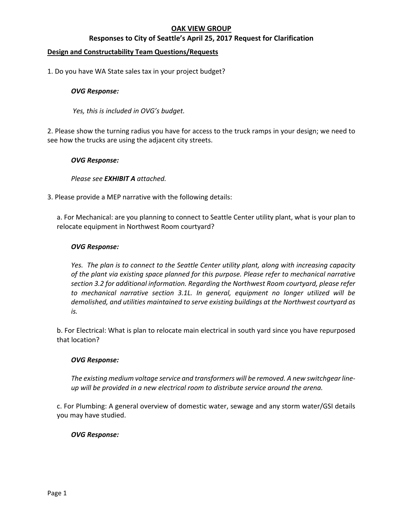# **OAK VIEW GROUP**

# **Responses to City of Seattle's April 25, 2017 Request for Clarification**

### **Design and Constructability Team Questions/Requests**

1. Do you have WA State sales tax in your project budget?

#### *OVG Response:*

*Yes, this is included in OVG's budget.* 

2. Please show the turning radius you have for access to the truck ramps in your design; we need to see how the trucks are using the adjacent city streets.

### *OVG Response:*

### *Please see EXHIBIT A attached.*

3. Please provide a MEP narrative with the following details:

a. For Mechanical: are you planning to connect to Seattle Center utility plant, what is your plan to relocate equipment in Northwest Room courtyard?

#### *OVG Response:*

*Yes. The plan is to connect to the Seattle Center utility plant, along with increasing capacity of the plant via existing space planned for this purpose. Please refer to mechanical narrative section 3.2 for additional information. Regarding the Northwest Room courtyard, please refer to mechanical narrative section 3.1L. In general, equipment no longer utilized will be demolished, and utilities maintained to serve existing buildings at the Northwest courtyard as is.* 

b. For Electrical: What is plan to relocate main electrical in south yard since you have repurposed that location?

### *OVG Response:*

*The existing medium voltage service and transformers will be removed. A new switchgear line‐ up will be provided in a new electrical room to distribute service around the arena.* 

c. For Plumbing: A general overview of domestic water, sewage and any storm water/GSI details you may have studied.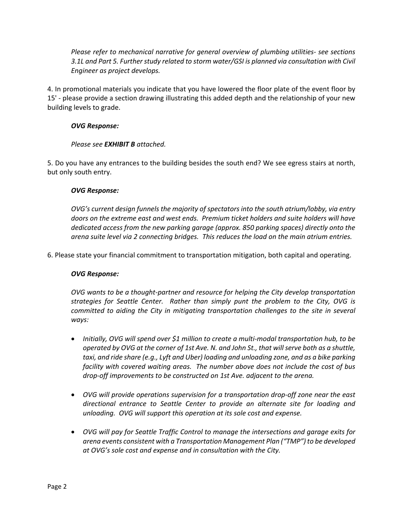*Please refer to mechanical narrative for general overview of plumbing utilities‐ see sections 3.1L and Part 5. Further study related to storm water/GSI is planned via consultation with Civil Engineer as project develops.*

4. In promotional materials you indicate that you have lowered the floor plate of the event floor by 15' ‐ please provide a section drawing illustrating this added depth and the relationship of your new building levels to grade.

## *OVG Response:*

### *Please see EXHIBIT B attached.*

5. Do you have any entrances to the building besides the south end? We see egress stairs at north, but only south entry.

### *OVG Response:*

*OVG's current design funnels the majority of spectators into the south atrium/lobby, via entry doors on the extreme east and west ends. Premium ticket holders and suite holders will have dedicated access from the new parking garage (approx. 850 parking spaces) directly onto the arena suite level via 2 connecting bridges. This reduces the load on the main atrium entries.* 

6. Please state your financial commitment to transportation mitigation, both capital and operating.

### *OVG Response:*

*OVG wants to be a thought‐partner and resource for helping the City develop transportation strategies for Seattle Center. Rather than simply punt the problem to the City, OVG is committed to aiding the City in mitigating transportation challenges to the site in several ways:* 

- *Initially, OVG will spend over \$1 million to create a multi‐modal transportation hub, to be operated by OVG at the corner of 1st Ave. N. and John St., that will serve both as a shuttle, taxi, and ride share (e.g., Lyft and Uber) loading and unloading zone, and as a bike parking facility with covered waiting areas. The number above does not include the cost of bus drop‐off improvements to be constructed on 1st Ave. adjacent to the arena.*
- *OVG will provide operations supervision for a transportation drop‐off zone near the east directional entrance to Seattle Center to provide an alternate site for loading and unloading. OVG will support this operation at its sole cost and expense.*
- *OVG will pay for Seattle Traffic Control to manage the intersections and garage exits for arena events consistent with a Transportation Management Plan ("TMP") to be developed at OVG's sole cost and expense and in consultation with the City.*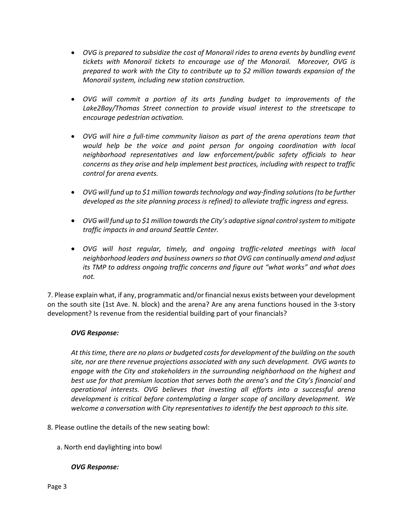- *OVG is prepared to subsidize the cost of Monorail rides to arena events by bundling event tickets with Monorail tickets to encourage use of the Monorail. Moreover, OVG is prepared to work with the City to contribute up to \$2 million towards expansion of the Monorail system, including new station construction.*
- *OVG will commit a portion of its arts funding budget to improvements of the Lake2Bay/Thomas Street connection to provide visual interest to the streetscape to encourage pedestrian activation.*
- OVG will hire a full-time community liaison as part of the arena operations team that *would help be the voice and point person for ongoing coordination with local neighborhood representatives and law enforcement/public safety officials to hear concerns as they arise and help implement best practices, including with respect to traffic control for arena events.*
- OVG will fund up to \$1 million towards technology and way-finding solutions (to be further *developed as the site planning process is refined) to alleviate traffic ingress and egress.*
- *OVG will fund up to \$1 million towards the City's adaptive signal control system to mitigate traffic impacts in and around Seattle Center.*
- OVG will host regular, timely, and ongoing traffic-related meetings with local *neighborhood leaders and business owners so that OVG can continually amend and adjust its TMP to address ongoing traffic concerns and figure out "what works" and what does not.*

7. Please explain what, if any, programmatic and/or financial nexus exists between your development on the south site (1st Ave. N. block) and the arena? Are any arena functions housed in the 3‐story development? Is revenue from the residential building part of your financials?

## *OVG Response:*

*At this time, there are no plans or budgeted costs for development of the building on the south site, nor are there revenue projections associated with any such development. OVG wants to engage with the City and stakeholders in the surrounding neighborhood on the highest and best use for that premium location that serves both the arena's and the City's financial and operational interests. OVG believes that investing all efforts into a successful arena development is critical before contemplating a larger scope of ancillary development. We welcome a conversation with City representatives to identify the best approach to this site.* 

- 8. Please outline the details of the new seating bowl:
	- a. North end daylighting into bowl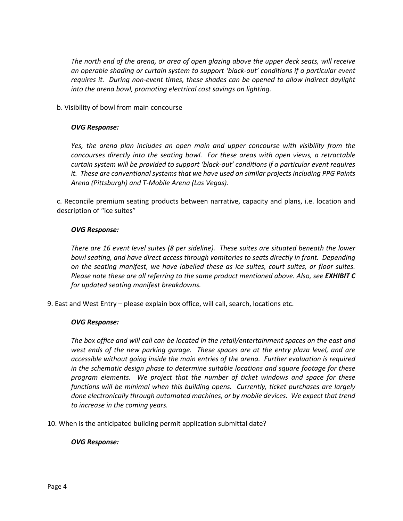*The north end of the arena, or area of open glazing above the upper deck seats, will receive an operable shading or curtain system to support 'black‐out' conditions if a particular event requires it. During non‐event times, these shades can be opened to allow indirect daylight into the arena bowl, promoting electrical cost savings on lighting.*

b. Visibility of bowl from main concourse

#### *OVG Response:*

*Yes, the arena plan includes an open main and upper concourse with visibility from the concourses directly into the seating bowl. For these areas with open views, a retractable curtain system will be provided to support 'black‐out' conditions if a particular event requires it. These are conventional systems that we have used on similar projects including PPG Paints Arena (Pittsburgh) and T‐Mobile Arena (Las Vegas).*

c. Reconcile premium seating products between narrative, capacity and plans, i.e. location and description of "ice suites"

### *OVG Response:*

*There are 16 event level suites (8 per sideline). These suites are situated beneath the lower bowl seating, and have direct access through vomitories to seats directly in front. Depending on the seating manifest, we have labelled these as ice suites, court suites, or floor suites. Please note these are all referring to the same product mentioned above. Also, see EXHIBIT C for updated seating manifest breakdowns.*

9. East and West Entry – please explain box office, will call, search, locations etc.

### *OVG Response:*

*The box office and will call can be located in the retail/entertainment spaces on the east and west ends of the new parking garage. These spaces are at the entry plaza level, and are accessible without going inside the main entries of the arena. Further evaluation is required in the schematic design phase to determine suitable locations and square footage for these program elements. We project that the number of ticket windows and space for these functions will be minimal when this building opens. Currently, ticket purchases are largely done electronically through automated machines, or by mobile devices. We expect that trend to increase in the coming years.*

10. When is the anticipated building permit application submittal date?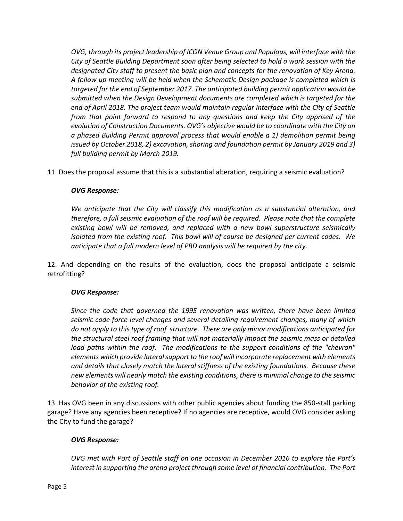*OVG, through its project leadership of ICON Venue Group and Populous, will interface with the City of Seattle Building Department soon after being selected to hold a work session with the designated City staff to present the basic plan and concepts for the renovation of Key Arena. A follow up meeting will be held when the Schematic Design package is completed which is targeted for the end of September 2017. The anticipated building permit application would be submitted when the Design Development documents are completed which is targeted for the end of April 2018. The project team would maintain regular interface with the City of Seattle from that point forward to respond to any questions and keep the City apprised of the evolution of Construction Documents. OVG's objective would be to coordinate with the City on a phased Building Permit approval process that would enable a 1) demolition permit being issued by October 2018, 2) excavation, shoring and foundation permit by January 2019 and 3) full building permit by March 2019.* 

11. Does the proposal assume that this is a substantial alteration, requiring a seismic evaluation?

## *OVG Response:*

*We anticipate that the City will classify this modification as a substantial alteration, and therefore, a full seismic evaluation of the roof will be required. Please note that the complete existing bowl will be removed, and replaced with a new bowl superstructure seismically isolated from the existing roof. This bowl will of course be designed per current codes. We anticipate that a full modern level of PBD analysis will be required by the city.* 

12. And depending on the results of the evaluation, does the proposal anticipate a seismic retrofitting?

## *OVG Response:*

*Since the code that governed the 1995 renovation was written, there have been limited seismic code force level changes and several detailing requirement changes, many of which do not apply to this type of roof structure. There are only minor modifications anticipated for the structural steel roof framing that will not materially impact the seismic mass or detailed load paths within the roof. The modifications to the support conditions of the "chevron" elements which provide lateral support to the roof will incorporate replacement with elements and details that closely match the lateral stiffness of the existing foundations. Because these new elements will nearly match the existing conditions, there is minimal change to the seismic behavior of the existing roof.* 

13. Has OVG been in any discussions with other public agencies about funding the 850‐stall parking garage? Have any agencies been receptive? If no agencies are receptive, would OVG consider asking the City to fund the garage?

## *OVG Response:*

*OVG met with Port of Seattle staff on one occasion in December 2016 to explore the Port's interest in supporting the arena project through some level of financial contribution. The Port*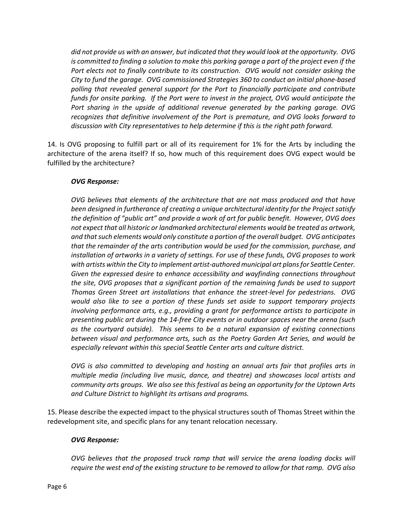*did not provide us with an answer, but indicated that they would look at the opportunity. OVG*  is committed to finding a solution to make this parking garage a part of the project even if the *Port elects not to finally contribute to its construction. OVG would not consider asking the City to fund the garage. OVG commissioned Strategies 360 to conduct an initial phone‐based polling that revealed general support for the Port to financially participate and contribute funds for onsite parking. If the Port were to invest in the project, OVG would anticipate the Port sharing in the upside of additional revenue generated by the parking garage. OVG recognizes that definitive involvement of the Port is premature, and OVG looks forward to discussion with City representatives to help determine if this is the right path forward.* 

14. Is OVG proposing to fulfill part or all of its requirement for 1% for the Arts by including the architecture of the arena itself? If so, how much of this requirement does OVG expect would be fulfilled by the architecture?

### *OVG Response:*

*OVG believes that elements of the architecture that are not mass produced and that have been designed in furtherance of creating a unique architectural identity for the Project satisfy the definition of "public art" and provide a work of art for public benefit. However, OVG does not expect that all historic or landmarked architectural elements would be treated as artwork, and that such elements would only constitute a portion of the overall budget. OVG anticipates that the remainder of the arts contribution would be used for the commission, purchase, and installation of artworks in a variety of settings. For use of these funds, OVG proposes to work with artists within the City to implement artist‐authored municipal art plans for Seattle Center. Given the expressed desire to enhance accessibility and wayfinding connections throughout the site, OVG proposes that a significant portion of the remaining funds be used to support Thomas Green Street art installations that enhance the street‐level for pedestrians. OVG would also like to see a portion of these funds set aside to support temporary projects involving performance arts, e.g., providing a grant for performance artists to participate in presenting public art during the 14‐free City events or in outdoor spaces near the arena (such as the courtyard outside). This seems to be a natural expansion of existing connections between visual and performance arts, such as the Poetry Garden Art Series, and would be*  especially relevant within this special Seattle Center arts and culture district.

*OVG is also committed to developing and hosting an annual arts fair that profiles arts in multiple media (including live music, dance, and theatre) and showcases local artists and community arts groups. We also see this festival as being an opportunity for the Uptown Arts and Culture District to highlight its artisans and programs.* 

15. Please describe the expected impact to the physical structures south of Thomas Street within the redevelopment site, and specific plans for any tenant relocation necessary.

### *OVG Response:*

*OVG believes that the proposed truck ramp that will service the arena loading docks will require the west end of the existing structure to be removed to allow for that ramp. OVG also*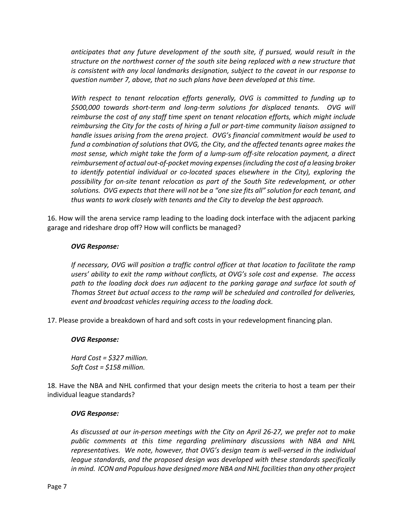*anticipates that any future development of the south site, if pursued, would result in the structure on the northwest corner of the south site being replaced with a new structure that is consistent with any local landmarks designation, subject to the caveat in our response to question number 7, above, that no such plans have been developed at this time.* 

*With respect to tenant relocation efforts generally, OVG is committed to funding up to \$500,000 towards short‐term and long‐term solutions for displaced tenants. OVG will reimburse the cost of any staff time spent on tenant relocation efforts, which might include reimbursing the City for the costs of hiring a full or part‐time community liaison assigned to handle issues arising from the arena project. OVG's financial commitment would be used to fund a combination of solutions that OVG, the City, and the affected tenants agree makes the most sense, which might take the form of a lump‐sum off‐site relocation payment, a direct reimbursement of actual out‐of‐pocket moving expenses (including the cost of a leasing broker to identify potential individual or co‐located spaces elsewhere in the City), exploring the possibility for on‐site tenant relocation as part of the South Site redevelopment, or other solutions. OVG expects that there will not be a "one size fits all" solution for each tenant, and thus wants to work closely with tenants and the City to develop the best approach.* 

16. How will the arena service ramp leading to the loading dock interface with the adjacent parking garage and rideshare drop off? How will conflicts be managed?

## *OVG Response:*

*If necessary, OVG will position a traffic control officer at that location to facilitate the ramp users' ability to exit the ramp without conflicts, at OVG's sole cost and expense. The access*  path to the loading dock does run adjacent to the parking garage and surface lot south of *Thomas Street but actual access to the ramp will be scheduled and controlled for deliveries, event and broadcast vehicles requiring access to the loading dock.*

17. Please provide a breakdown of hard and soft costs in your redevelopment financing plan.

### *OVG Response:*

*Hard Cost = \$327 million. Soft Cost = \$158 million.* 

18. Have the NBA and NHL confirmed that your design meets the criteria to host a team per their individual league standards?

### *OVG Response:*

*As discussed at our in‐person meetings with the City on April 26‐27, we prefer not to make public comments at this time regarding preliminary discussions with NBA and NHL representatives. We note, however, that OVG's design team is well‐versed in the individual league standards, and the proposed design was developed with these standards specifically in mind. ICON and Populous have designed more NBA and NHL facilities than any other project*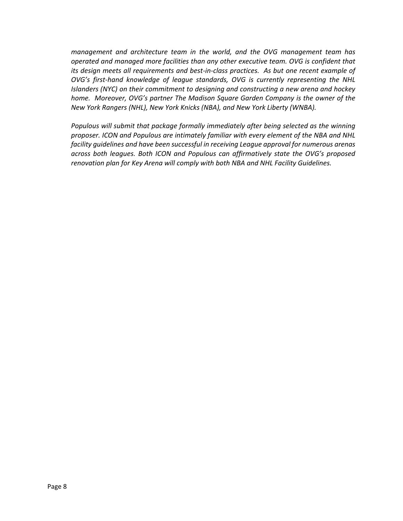*management and architecture team in the world, and the OVG management team has operated and managed more facilities than any other executive team. OVG is confident that its design meets all requirements and best‐in‐class practices. As but one recent example of OVG's first‐hand knowledge of league standards, OVG is currently representing the NHL Islanders (NYC) on their commitment to designing and constructing a new arena and hockey home. Moreover, OVG's partner The Madison Square Garden Company is the owner of the New York Rangers (NHL), New York Knicks (NBA), and New York Liberty (WNBA).*

*Populous will submit that package formally immediately after being selected as the winning proposer. ICON and Populous are intimately familiar with every element of the NBA and NHL facility guidelines and have been successful in receiving League approval for numerous arenas across both leagues. Both ICON and Populous can affirmatively state the OVG's proposed renovation plan for Key Arena will comply with both NBA and NHL Facility Guidelines.*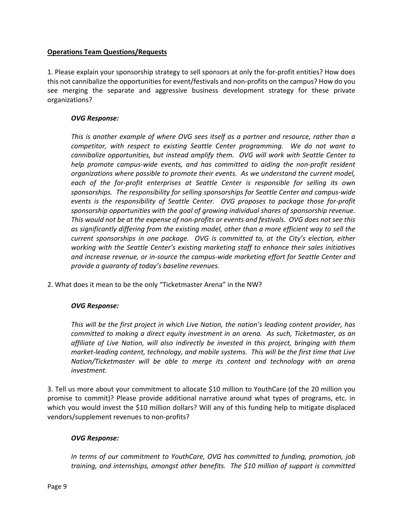## **Operations Team Questions/Requests**

1. Please explain your sponsorship strategy to sell sponsors at only the for‐profit entities? How does this not cannibalize the opportunities for event/festivals and non‐profits on the campus? How do you see merging the separate and aggressive business development strategy for these private organizations? 

### *OVG Response:*

*This is another example of where OVG sees itself as a partner and resource, rather than a competitor, with respect to existing Seattle Center programming. We do not want to cannibalize opportunities, but instead amplify them. OVG will work with Seattle Center to help promote campus‐wide events, and has committed to aiding the non‐profit resident organizations where possible to promote their events. As we understand the current model, each of the for‐profit enterprises at Seattle Center is responsible for selling its own sponsorships. The responsibility for selling sponsorships for Seattle Center and campus‐wide events is the responsibility of Seattle Center. OVG proposes to package those for‐profit sponsorship opportunities with the goal of growing individual shares of sponsorship revenue. This would not be at the expense of non‐profits or events and festivals. OVG does not see this as significantly differing from the existing model, other than a more efficient way to sell the current sponsorships in one package. OVG is committed to, at the City's election, either working with the Seattle Center's existing marketing staff to enhance their sales initiatives and increase revenue, or in‐source the campus‐wide marketing effort for Seattle Center and provide a guaranty of today's baseline revenues.* 

2. What does it mean to be the only "Ticketmaster Arena" in the NW?

## *OVG Response:*

*This will be the first project in which Live Nation, the nation's leading content provider, has committed to making a direct equity investment in an arena. As such, Ticketmaster, as an affiliate of Live Nation, will also indirectly be invested in this project, bringing with them market‐leading content, technology, and mobile systems. This will be the first time that Live Nation/Ticketmaster will be able to merge its content and technology with an arena investment.* 

3. Tell us more about your commitment to allocate \$10 million to YouthCare (of the 20 million you promise to commit)? Please provide additional narrative around what types of programs, etc. in which you would invest the \$10 million dollars? Will any of this funding help to mitigate displaced vendors/supplement revenues to non‐profits?

## *OVG Response:*

*In terms of our commitment to YouthCare, OVG has committed to funding, promotion, job training, and internships, amongst other benefits. The \$10 million of support is committed*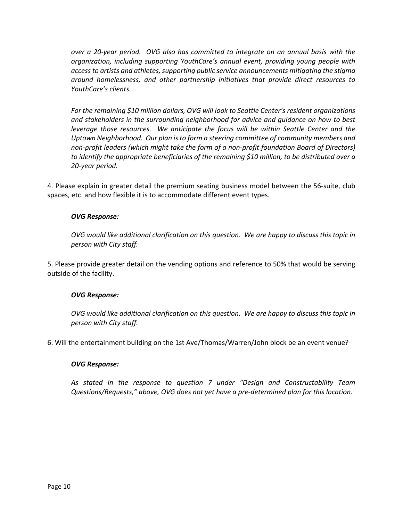*over a 20‐year period. OVG also has committed to integrate on an annual basis with the organization, including supporting YouthCare's annual event, providing young people with access to artists and athletes, supporting public service announcements mitigating the stigma around homelessness, and other partnership initiatives that provide direct resources to YouthCare's clients.* 

*For the remaining \$10 million dollars, OVG will look to Seattle Center's resident organizations and stakeholders in the surrounding neighborhood for advice and guidance on how to best leverage those resources. We anticipate the focus will be within Seattle Center and the Uptown Neighborhood. Our plan is to form a steering committee of community members and non‐profit leaders (which might take the form of a non‐profit foundation Board of Directors) to identify the appropriate beneficiaries of the remaining \$10 million, to be distributed over a 20‐year period.* 

4. Please explain in greater detail the premium seating business model between the 56‐suite, club spaces, etc. and how flexible it is to accommodate different event types.

## *OVG Response:*

*OVG would like additional clarification on this question. We are happy to discuss this topic in person with City staff.* 

5. Please provide greater detail on the vending options and reference to 50% that would be serving outside of the facility.

### *OVG Response:*

*OVG would like additional clarification on this question. We are happy to discuss this topic in person with City staff.* 

6. Will the entertainment building on the 1st Ave/Thomas/Warren/John block be an event venue?

### *OVG Response:*

*As stated in the response to question 7 under "Design and Constructability Team Questions/Requests," above, OVG does not yet have a pre‐determined plan for this location.*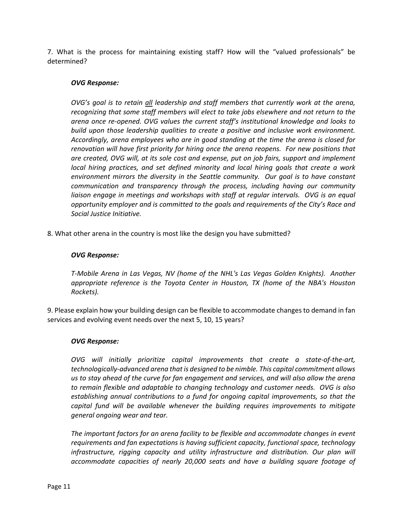7. What is the process for maintaining existing staff? How will the "valued professionals" be determined?

### *OVG Response:*

*OVG's goal is to retain all leadership and staff members that currently work at the arena, recognizing that some staff members will elect to take jobs elsewhere and not return to the arena once re‐opened. OVG values the current staff's institutional knowledge and looks to build upon those leadership qualities to create a positive and inclusive work environment. Accordingly, arena employees who are in good standing at the time the arena is closed for renovation will have first priority for hiring once the arena reopens. For new positions that are created, OVG will, at its sole cost and expense, put on job fairs, support and implement local hiring practices, and set defined minority and local hiring goals that create a work environment mirrors the diversity in the Seattle community. Our goal is to have constant communication and transparency through the process, including having our community*  liaison engage in meetings and workshops with staff at regular intervals. OVG is an equal *opportunity employer and is committed to the goals and requirements of the City's Race and Social Justice Initiative.* 

8. What other arena in the country is most like the design you have submitted?

### *OVG Response:*

*T‐Mobile Arena in Las Vegas, NV (home of the NHL's Las Vegas Golden Knights). Another appropriate reference is the Toyota Center in Houston, TX (home of the NBA's Houston Rockets).* 

9. Please explain how your building design can be flexible to accommodate changes to demand in fan services and evolving event needs over the next 5, 10, 15 years?

### *OVG Response:*

*OVG* will initially prioritize capital improvements that create a state-of-the-art, *technologically‐advanced arena that is designed to be nimble. This capital commitment allows us to stay ahead of the curve for fan engagement and services, and will also allow the arena to remain flexible and adaptable to changing technology and customer needs. OVG is also establishing annual contributions to a fund for ongoing capital improvements, so that the capital fund will be available whenever the building requires improvements to mitigate general ongoing wear and tear.*

*The important factors for an arena facility to be flexible and accommodate changes in event requirements and fan expectations is having sufficient capacity, functional space, technology*  infrastructure, rigging capacity and utility infrastructure and distribution. Our plan will *accommodate capacities of nearly 20,000 seats and have a building square footage of*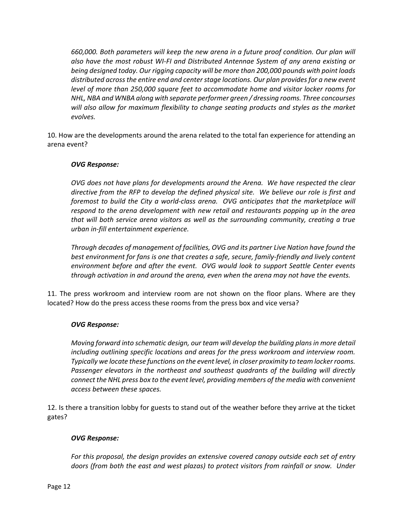*660,000. Both parameters will keep the new arena in a future proof condition. Our plan will also have the most robust WI‐FI and Distributed Antennae System of any arena existing or being designed today. Our rigging capacity will be more than 200,000 pounds with point loads distributed across the entire end and center stage locations. Our plan provides for a new event level of more than 250,000 square feet to accommodate home and visitor locker rooms for NHL, NBA and WNBA along with separate performer green / dressing rooms. Three concourses will also allow for maximum flexibility to change seating products and styles as the market evolves.* 

10. How are the developments around the arena related to the total fan experience for attending an arena event?

## *OVG Response:*

*OVG does not have plans for developments around the Arena. We have respected the clear directive from the RFP to develop the defined physical site. We believe our role is first and foremost to build the City a world‐class arena. OVG anticipates that the marketplace will respond to the arena development with new retail and restaurants popping up in the area that will both service arena visitors as well as the surrounding community, creating a true urban in‐fill entertainment experience.* 

*Through decades of management of facilities, OVG and its partner Live Nation have found the best environment for fans is one that creates a safe, secure, family‐friendly and lively content environment before and after the event. OVG would look to support Seattle Center events through activation in and around the arena, even when the arena may not have the events.* 

11. The press workroom and interview room are not shown on the floor plans. Where are they located? How do the press access these rooms from the press box and vice versa?

### *OVG Response:*

*Moving forward into schematic design, our team will develop the building plans in more detail including outlining specific locations and areas for the press workroom and interview room. Typically we locate these functions on the event level, in closer proximity to team locker rooms. Passenger elevators in the northeast and southeast quadrants of the building will directly connect the NHL press box to the event level, providing members of the media with convenient access between these spaces.* 

12. Is there a transition lobby for guests to stand out of the weather before they arrive at the ticket gates?

### *OVG Response:*

*For this proposal, the design provides an extensive covered canopy outside each set of entry doors (from both the east and west plazas) to protect visitors from rainfall or snow. Under*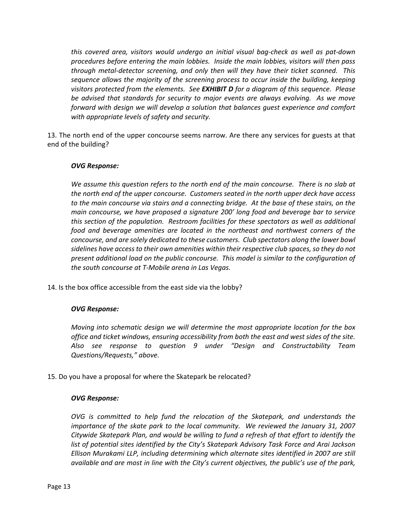*this covered area, visitors would undergo an initial visual bag‐check as well as pat‐down procedures before entering the main lobbies. Inside the main lobbies, visitors will then pass through metal‐detector screening, and only then will they have their ticket scanned. This sequence allows the majority of the screening process to occur inside the building, keeping visitors protected from the elements. See EXHIBIT D for a diagram of this sequence. Please be advised that standards for security to major events are always evolving. As we move forward with design we will develop a solution that balances guest experience and comfort with appropriate levels of safety and security.* 

13. The north end of the upper concourse seems narrow. Are there any services for guests at that end of the building?

### *OVG Response:*

*We assume this question refers to the north end of the main concourse. There is no slab at the north end of the upper concourse. Customers seated in the north upper deck have access to the main concourse via stairs and a connecting bridge. At the base of these stairs, on the main concourse, we have proposed a signature 200' long food and beverage bar to service this section of the population. Restroom facilities for these spectators as well as additional food and beverage amenities are located in the northeast and northwest corners of the concourse, and are solely dedicated to these customers. Club spectators along the lower bowl sidelines have access to their own amenities within their respective club spaces, so they do not present additional load on the public concourse. This model is similar to the configuration of the south concourse at T‐Mobile arena in Las Vegas.* 

14. Is the box office accessible from the east side via the lobby?

## *OVG Response:*

*Moving into schematic design we will determine the most appropriate location for the box office and ticket windows, ensuring accessibility from both the east and west sides of the site. Also see response to question 9 under "Design and Constructability Team Questions/Requests," above.* 

15. Do you have a proposal for where the Skatepark be relocated?

### *OVG Response:*

*OVG is committed to help fund the relocation of the Skatepark, and understands the importance of the skate park to the local community. We reviewed the January 31, 2007 Citywide Skatepark Plan, and would be willing to fund a refresh of that effort to identify the list of potential sites identified by the City's Skatepark Advisory Task Force and Arai Jackson Ellison Murakami LLP, including determining which alternate sites identified in 2007 are still available and are most in line with the City's current objectives, the public's use of the park,*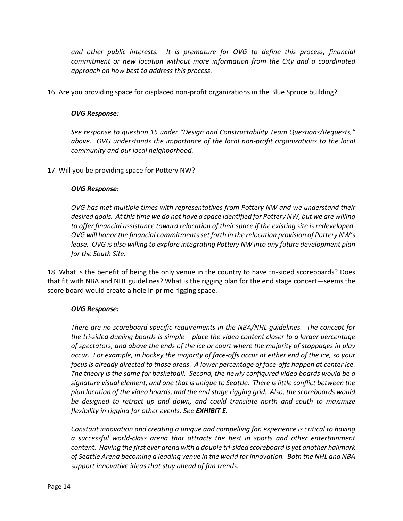*and other public interests. It is premature for OVG to define this process, financial commitment or new location without more information from the City and a coordinated approach on how best to address this process.* 

16. Are you providing space for displaced non‐profit organizations in the Blue Spruce building?

### *OVG Response:*

*See response to question 15 under "Design and Constructability Team Questions/Requests," above. OVG understands the importance of the local non‐profit organizations to the local community and our local neighborhood.* 

17. Will you be providing space for Pottery NW?

### *OVG Response:*

*OVG has met multiple times with representatives from Pottery NW and we understand their desired goals. At this time we do not have a space identified for Pottery NW, but we are willing to offer financial assistance toward relocation of their space if the existing site is redeveloped. OVG will honor the financial commitments set forth in the relocation provision of Pottery NW's lease. OVG is also willing to explore integrating Pottery NW into any future development plan for the South Site.* 

18. What is the benefit of being the only venue in the country to have tri‐sided scoreboards? Does that fit with NBA and NHL guidelines? What is the rigging plan for the end stage concert—seems the score board would create a hole in prime rigging space.

### *OVG Response:*

*There are no scoreboard specific requirements in the NBA/NHL guidelines. The concept for the tri‐sided dueling boards is simple – place the video content closer to a larger percentage of spectators, and above the ends of the ice or court where the majority of stoppages in play occur. For example, in hockey the majority of face‐offs occur at either end of the ice, so your focus is already directed to those areas. A lower percentage of face‐offs happen at center ice. The theory is the same for basketball. Second, the newly configured video boards would be a signature visual element, and one that is unique to Seattle. There is little conflict between the plan location of the video boards, and the end stage rigging grid. Also, the scoreboards would be designed to retract up and down, and could translate north and south to maximize flexibility in rigging for other events. See EXHIBIT E.*

*Constant innovation and creating a unique and compelling fan experience is critical to having a successful world‐class arena that attracts the best in sports and other entertainment content. Having the first ever arena with a double tri‐sided scoreboard is yet another hallmark of Seattle Arena becoming a leading venue in the world for innovation. Both the NHL and NBA support innovative ideas that stay ahead of fan trends.*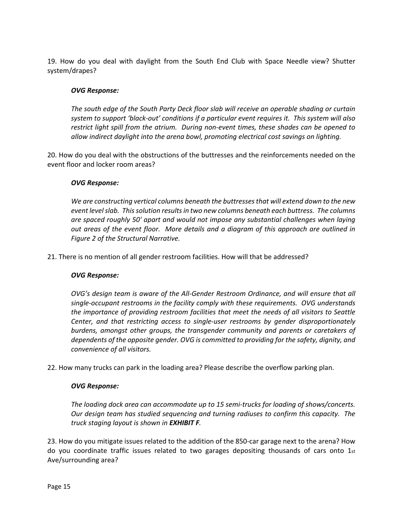19. How do you deal with daylight from the South End Club with Space Needle view? Shutter system/drapes?

### *OVG Response:*

*The south edge of the South Party Deck floor slab will receive an operable shading or curtain system to support 'black‐out' conditions if a particular event requires it. This system will also restrict light spill from the atrium. During non‐event times, these shades can be opened to allow indirect daylight into the arena bowl, promoting electrical cost savings on lighting.* 

20. How do you deal with the obstructions of the buttresses and the reinforcements needed on the event floor and locker room areas?

### *OVG Response:*

*We are constructing vertical columns beneath the buttresses that will extend down to the new event level slab. This solution results in two new columns beneath each buttress. The columns are spaced roughly 50' apart and would not impose any substantial challenges when laying out areas of the event floor. More details and a diagram of this approach are outlined in Figure 2 of the Structural Narrative.* 

21. There is no mention of all gender restroom facilities. How will that be addressed?

### *OVG Response:*

*OVG's design team is aware of the All‐Gender Restroom Ordinance, and will ensure that all single‐occupant restrooms in the facility comply with these requirements. OVG understands the importance of providing restroom facilities that meet the needs of all visitors to Seattle Center, and that restricting access to single‐user restrooms by gender disproportionately burdens, amongst other groups, the transgender community and parents or caretakers of dependents of the opposite gender. OVG is committed to providing for the safety, dignity, and convenience of all visitors.* 

22. How many trucks can park in the loading area? Please describe the overflow parking plan.

### *OVG Response:*

*The loading dock area can accommodate up to 15 semi‐trucks for loading of shows/concerts. Our design team has studied sequencing and turning radiuses to confirm this capacity. The truck staging layout is shown in EXHIBIT F.* 

23. How do you mitigate issues related to the addition of the 850‐car garage next to the arena? How do you coordinate traffic issues related to two garages depositing thousands of cars onto  $1_{st}$ Ave/surrounding area?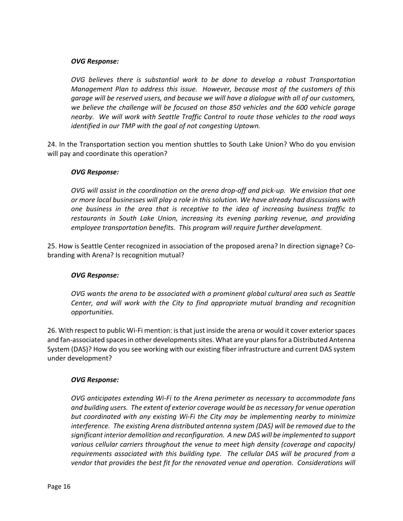### *OVG Response:*

*OVG believes there is substantial work to be done to develop a robust Transportation Management Plan to address this issue. However, because most of the customers of this garage will be reserved users, and because we will have a dialogue with all of our customers, we believe the challenge will be focused on those 850 vehicles and the 600 vehicle garage nearby. We will work with Seattle Traffic Control to route those vehicles to the road ways identified in our TMP with the goal of not congesting Uptown.* 

24. In the Transportation section you mention shuttles to South Lake Union? Who do you envision will pay and coordinate this operation?

### *OVG Response:*

*OVG will assist in the coordination on the arena drop‐off and pick‐up. We envision that one or more local businesses will play a role in this solution. We have already had discussions with one business in the area that is receptive to the idea of increasing business traffic to restaurants in South Lake Union, increasing its evening parking revenue, and providing*  employee transportation benefits. This program will require further development.

25. How is Seattle Center recognized in association of the proposed arena? In direction signage? Co‐ branding with Arena? Is recognition mutual?

### *OVG Response:*

*OVG wants the arena to be associated with a prominent global cultural area such as Seattle Center, and will work with the City to find appropriate mutual branding and recognition opportunities.* 

26. With respect to public Wi‐Fi mention: is that just inside the arena or would it cover exterior spaces and fan‐associated spaces in other developments sites. What are your plans for a Distributed Antenna System (DAS)? How do you see working with our existing fiber infrastructure and current DAS system under development?

### *OVG Response:*

*OVG anticipates extending Wi‐Fi to the Arena perimeter as necessary to accommodate fans and building users. The extent of exterior coverage would be as necessary for venue operation but coordinated with any existing Wi‐Fi the City may be implementing nearby to minimize interference. The existing Arena distributed antenna system (DAS) will be removed due to the significant interior demolition and reconfiguration. A new DAS will be implemented to support various cellular carriers throughout the venue to meet high density (coverage and capacity) requirements associated with this building type. The cellular DAS will be procured from a vendor that provides the best fit for the renovated venue and operation. Considerations will*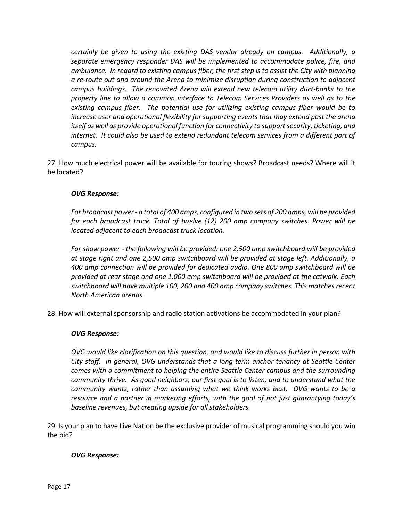*certainly be given to using the existing DAS vendor already on campus. Additionally, a separate emergency responder DAS will be implemented to accommodate police, fire, and ambulance. In regard to existing campus fiber, the first step is to assist the City with planning a re‐route out and around the Arena to minimize disruption during construction to adjacent campus buildings. The renovated Arena will extend new telecom utility duct‐banks to the property line to allow a common interface to Telecom Services Providers as well as to the existing campus fiber. The potential use for utilizing existing campus fiber would be to increase user and operational flexibility for supporting events that may extend past the arena itself as well as provide operational function for connectivity to support security, ticketing, and internet. It could also be used to extend redundant telecom services from a different part of campus.* 

27. How much electrical power will be available for touring shows? Broadcast needs? Where will it be located?

## *OVG Response:*

*For broadcast power ‐ a total of 400 amps, configured in two sets of 200 amps, will be provided for each broadcast truck. Total of twelve (12) 200 amp company switches. Power will be located adjacent to each broadcast truck location.* 

*For show power ‐ the following will be provided: one 2,500 amp switchboard will be provided at stage right and one 2,500 amp switchboard will be provided at stage left. Additionally, a 400 amp connection will be provided for dedicated audio. One 800 amp switchboard will be provided at rear stage and one 1,000 amp switchboard will be provided at the catwalk. Each switchboard will have multiple 100, 200 and 400 amp company switches. This matches recent North American arenas.* 

28. How will external sponsorship and radio station activations be accommodated in your plan?

### *OVG Response:*

*OVG would like clarification on this question, and would like to discuss further in person with City staff. In general, OVG understands that a long‐term anchor tenancy at Seattle Center comes with a commitment to helping the entire Seattle Center campus and the surrounding community thrive. As good neighbors, our first goal is to listen, and to understand what the community wants, rather than assuming what we think works best. OVG wants to be a resource and a partner in marketing efforts, with the goal of not just guarantying today's baseline revenues, but creating upside for all stakeholders.* 

29. Is your plan to have Live Nation be the exclusive provider of musical programming should you win the bid?